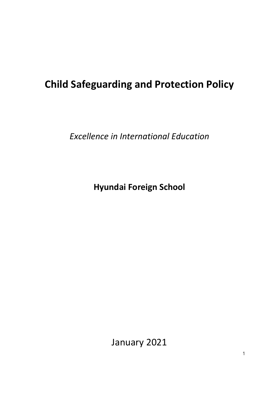# **Child Safeguarding and Protection Policy**

*Excellence in International Education*

**Hyundai Foreign School**

January 2021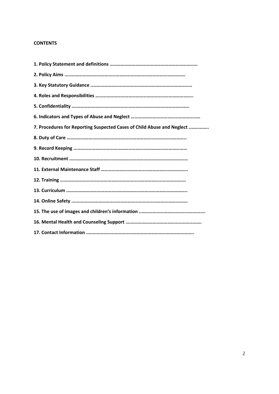# **CONTENTS**

| 7. Procedures for Reporting Suspected Cases of Child Abuse and Neglect |
|------------------------------------------------------------------------|
|                                                                        |
|                                                                        |
|                                                                        |
|                                                                        |
|                                                                        |
|                                                                        |
|                                                                        |
|                                                                        |
|                                                                        |
|                                                                        |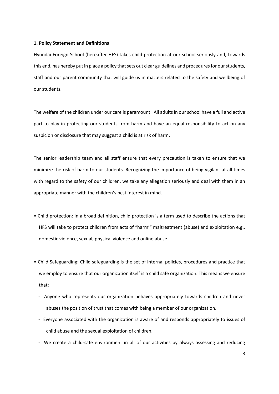#### **1. Policy Statement and Definitions**

Hyundai Foreign School (hereafter HFS) takes child protection at our school seriously and, towards this end, has hereby put in place a policy that sets out clear guidelines and procedures for our students, staff and our parent community that will guide us in matters related to the safety and wellbeing of our students.

The welfare of the children under our care is paramount. All adults in our school have a full and active part to play in protecting our students from harm and have an equal responsibility to act on any suspicion or disclosure that may suggest a child is at risk of harm.

The senior leadership team and all staff ensure that every precaution is taken to ensure that we minimize the risk of harm to our students. Recognizing the importance of being vigilant at all times with regard to the safety of our children, we take any allegation seriously and deal with them in an appropriate manner with the children's best interest in mind.

- Child protection: In a broad definition, child protection is a term used to describe the actions that HFS will take to protect children from acts of "harm'" maltreatment (abuse) and exploitation e.g., domestic violence, sexual, physical violence and online abuse.
- Child Safeguarding: Child safeguarding is the set of internal policies, procedures and practice that we employ to ensure that our organization itself is a child safe organization. This means we ensure that:
	- Anyone who represents our organization behaves appropriately towards children and never abuses the position of trust that comes with being a member of our organization.
	- Everyone associated with the organization is aware of and responds appropriately to issues of child abuse and the sexual exploitation of children.
	- We create a child-safe environment in all of our activities by always assessing and reducing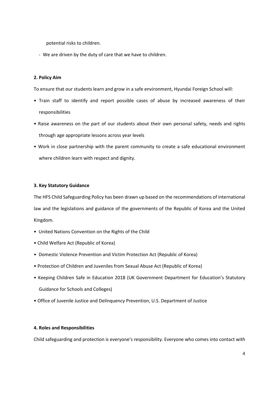potential risks to children.

- We are driven by the duty of care that we have to children.

# **2. Policy Aim**

To ensure that our students learn and grow in a safe environment, Hyundai Foreign School will:

- Train staff to identify and report possible cases of abuse by increased awareness of their responsibilities
- Raise awareness on the part of our students about their own personal safety, needs and rights through age appropriate lessons across year levels
- Work in close partnership with the parent community to create a safe educational environment where children learn with respect and dignity.

## **3. Key Statutory Guidance**

The HFS Child Safeguarding Policy has been drawn up based on the recommendations of international law and the legislations and guidance of the governments of the Republic of Korea and the United Kingdom.

- United Nations Convention on the Rights of the Child
- Child Welfare Act (Republic of Korea)
- Domestic Violence Prevention and Victim Protection Act (Republic of Korea)
- Protection of Children and Juveniles from Sexual Abuse Act (Republic of Korea)
- Keeping Children Safe in Education 2018 (UK Government Department for Education's Statutory Guidance for Schools and Colleges)
- Office of Juvenile Justice and Delinquency Prevention, U.S. Department of Justice

#### **4. Roles and Responsibilities**

Child safeguarding and protection is everyone's responsibility. Everyone who comes into contact with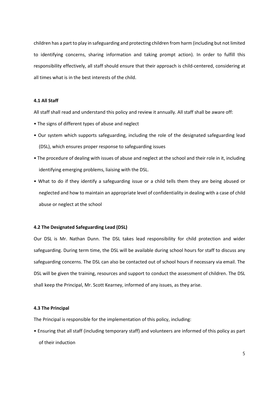children has a part to play in safeguarding and protecting children from harm (including but not limited to identifying concerns, sharing information and taking prompt action). In order to fulfill this responsibility effectively, all staff should ensure that their approach is child-centered, considering at all times what is in the best interests of the child.

# **4.1 All Staff**

All staff shall read and understand this policy and review it annually. All staff shall be aware off:

- The signs of different types of abuse and neglect
- Our system which supports safeguarding, including the role of the designated safeguarding lead (DSL), which ensures proper response to safeguarding issues
- The procedure of dealing with issues of abuse and neglect at the school and their role in it, including identifying emerging problems, liaising with the DSL.
- What to do if they identify a safeguarding issue or a child tells them they are being abused or neglected and how to maintain an appropriate level of confidentiality in dealing with a case of child abuse or neglect at the school

#### **4.2 The Designated Safeguarding Lead (DSL)**

Our DSL is Mr. Nathan Dunn. The DSL takes lead responsibility for child protection and wider safeguarding. During term time, the DSL will be available during school hours for staff to discuss any safeguarding concerns. The DSL can also be contacted out of school hours if necessary via email. The DSL will be given the training, resources and support to conduct the assessment of children. The DSL shall keep the Principal, Mr. Scott Kearney, informed of any issues, as they arise.

#### **4.3 The Principal**

The Principal is responsible for the implementation of this policy, including:

• Ensuring that all staff (including temporary staff) and volunteers are informed of this policy as part of their induction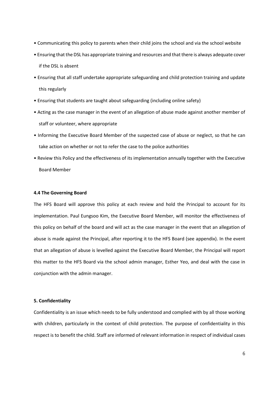- Communicating this policy to parents when their child joins the school and via the school website
- Ensuring that the DSL has appropriate training and resources and that there is always adequate cover if the DSL is absent
- Ensuring that all staff undertake appropriate safeguarding and child protection training and update this regularly
- Ensuring that students are taught about safeguarding (including online safety)
- Acting as the case manager in the event of an allegation of abuse made against another member of staff or volunteer, where appropriate
- Informing the Executive Board Member of the suspected case of abuse or neglect, so that he can take action on whether or not to refer the case to the police authorities
- Review this Policy and the effectiveness of its implementation annually together with the Executive Board Member

#### **4.4 The Governing Board**

The HFS Board will approve this policy at each review and hold the Principal to account for its implementation. Paul Eungsoo Kim, the Executive Board Member, will monitor the effectiveness of this policy on behalf of the board and will act as the case manager in the event that an allegation of abuse is made against the Principal, after reporting it to the HFS Board (see appendix). In the event that an allegation of abuse is levelled against the Executive Board Member, the Principal will report this matter to the HFS Board via the school admin manager, Esther Yeo, and deal with the case in conjunction with the admin manager.

#### **5. Confidentiality**

Confidentiality is an issue which needs to be fully understood and complied with by all those working with children, particularly in the context of child protection. The purpose of confidentiality in this respect is to benefit the child. Staff are informed of relevant information in respect of individual cases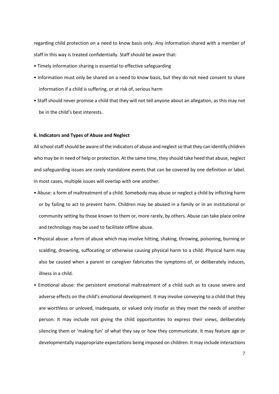regarding child protection on a need to know basis only. Any information shared with a member of staff in this way is treated confidentially. Staff should be aware that:

- Timely information sharing is essential to effective safeguarding
- Information must only be shared on a need to know basis, but they do not need consent to share information if a child is suffering, or at risk of, serious harm
- Staff should never promise a child that they will not tell anyone about an allegation, as this may not be in the child's best interests.

#### **6. Indicators and Types of Abuse and Neglect**

All school staff should be aware of the indicators of abuse and neglect so that they can identify children who may be in need of help or protection. At the same time, they should take heed that abuse, neglect and safeguarding issues are rarely standalone events that can be covered by one definition or label. In most cases, multiple issues will overlap with one another.

- Abuse: a form of maltreatment of a child. Somebody may abuse or neglect a child by inflicting harm or by failing to act to prevent harm. Children may be abused in a family or in an institutional or community setting by those known to them or, more rarely, by others. Abuse can take place online and technology may be used to facilitate offline abuse.
- Physical abuse: a form of abuse which may involve hitting, shaking, throwing, poisoning, burning or scalding, drowning, suffocating or otherwise causing physical harm to a child. Physical harm may also be caused when a parent or caregiver fabricates the symptoms of, or deliberately induces, illness in a child.
- Emotional abuse: the persistent emotional maltreatment of a child such as to cause severe and adverse effects on the child's emotional development. It may involve conveying to a child that they are worthless or unloved, inadequate, or valued only insofar as they meet the needs of another person. It may include not giving the child opportunities to express their views, deliberately silencing them or 'making fun' of what they say or how they communicate. It may feature age or developmentally inappropriate expectations being imposed on children. It may include interactions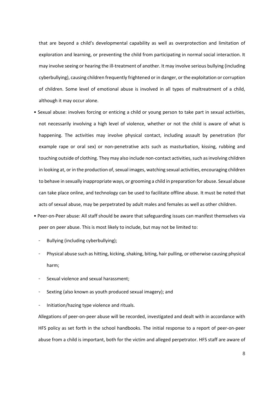that are beyond a child's developmental capability as well as overprotection and limitation of exploration and learning, or preventing the child from participating in normal social interaction. It may involve seeing or hearing the ill-treatment of another. It may involve serious bullying (including cyberbullying), causing children frequently frightened or in danger, or the exploitation or corruption of children. Some level of emotional abuse is involved in all types of maltreatment of a child, although it may occur alone.

- Sexual abuse: involves forcing or enticing a child or young person to take part in sexual activities, not necessarily involving a high level of violence, whether or not the child is aware of what is happening. The activities may involve physical contact, including assault by penetration (for example rape or oral sex) or non-penetrative acts such as masturbation, kissing, rubbing and touching outside of clothing. They may also include non-contact activities, such as involving children in looking at, or in the production of, sexual images, watching sexual activities, encouraging children to behave in sexually inappropriate ways, or grooming a child in preparation for abuse. Sexual abuse can take place online, and technology can be used to facilitate offline abuse. It must be noted that acts of sexual abuse, may be perpetrated by adult males and females as well as other children.
- Peer-on-Peer abuse: All staff should be aware that safeguarding issues can manifest themselves via peer on peer abuse. This is most likely to include, but may not be limited to:
	- Bullying (including cyberbullying);
	- Physical abuse such as hitting, kicking, shaking, biting, hair pulling, or otherwise causing physical harm;
	- Sexual violence and sexual harassment;
	- Sexting (also known as youth produced sexual imagery); and
	- Initiation/hazing type violence and rituals.

Allegations of peer-on-peer abuse will be recorded, investigated and dealt with in accordance with HFS policy as set forth in the school handbooks. The initial response to a report of peer-on-peer abuse from a child is important, both for the victim and alleged perpetrator. HFS staff are aware of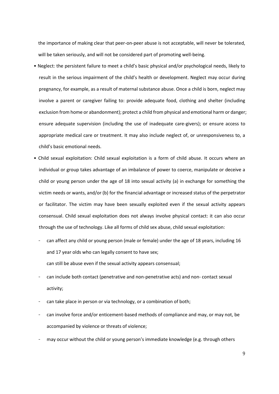the importance of making clear that peer-on-peer abuse is not acceptable, will never be tolerated, will be taken seriously, and will not be considered part of promoting well-being.

- Neglect: the persistent failure to meet a child's basic physical and/or psychological needs, likely to result in the serious impairment of the child's health or development. Neglect may occur during pregnancy, for example, as a result of maternal substance abuse. Once a child is born, neglect may involve a parent or caregiver failing to: provide adequate food, clothing and shelter (including exclusion from home or abandonment); protect a child from physical and emotional harm or danger; ensure adequate supervision (including the use of inadequate care-givers); or ensure access to appropriate medical care or treatment. It may also include neglect of, or unresponsiveness to, a child's basic emotional needs.
- Child sexual exploitation: Child sexual exploitation is a form of child abuse. It occurs where an individual or group takes advantage of an imbalance of power to coerce, manipulate or deceive a child or young person under the age of 18 into sexual activity (a) in exchange for something the victim needs or wants, and/or (b) for the financial advantage or increased status of the perpetrator or facilitator. The victim may have been sexually exploited even if the sexual activity appears consensual. Child sexual exploitation does not always involve physical contact: it can also occur through the use of technology. Like all forms of child sex abuse, child sexual exploitation:
	- can affect any child or young person (male or female) under the age of 18 years, including 16 and 17 year olds who can legally consent to have sex; can still be abuse even if the sexual activity appears consensual;
	- can include both contact (penetrative and non-penetrative acts) and non- contact sexual activity;
	- can take place in person or via technology, or a combination of both;
	- can involve force and/or enticement-based methods of compliance and may, or may not, be accompanied by violence or threats of violence;
	- may occur without the child or young person's immediate knowledge (e.g. through others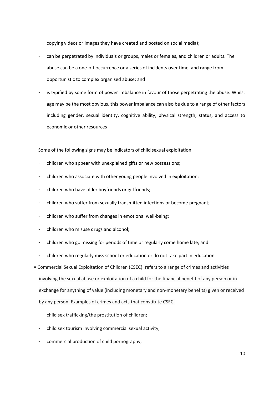copying videos or images they have created and posted on social media);

- can be perpetrated by individuals or groups, males or females, and children or adults. The abuse can be a one-off occurrence or a series of incidents over time, and range from opportunistic to complex organised abuse; and
- is typified by some form of power imbalance in favour of those perpetrating the abuse. Whilst age may be the most obvious, this power imbalance can also be due to a range of other factors including gender, sexual identity, cognitive ability, physical strength, status, and access to economic or other resources

Some of the following signs may be indicators of child sexual exploitation:

- children who appear with unexplained gifts or new possessions;
- children who associate with other young people involved in exploitation;
- children who have older boyfriends or girlfriends;
- children who suffer from sexually transmitted infections or become pregnant;
- children who suffer from changes in emotional well-being;
- children who misuse drugs and alcohol;
- children who go missing for periods of time or regularly come home late; and
- children who regularly miss school or education or do not take part in education.
- Commercial Sexual Exploitation of Children (CSEC): refers to a range of crimes and activities involving the sexual abuse or exploitation of a child for the financial benefit of any person or in exchange for anything of value (including monetary and non-monetary benefits) given or received by any person. Examples of crimes and acts that constitute CSEC:
	- child sex trafficking/the prostitution of children;
	- child sex tourism involving commercial sexual activity;
	- commercial production of child pornography;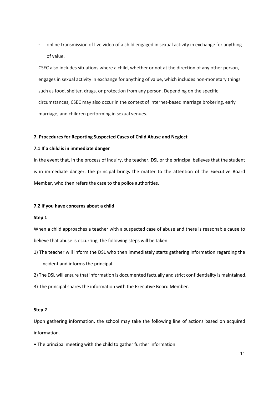- online transmission of live video of a child engaged in sexual activity in exchange for anything of value.

CSEC also includes situations where a child, whether or not at the direction of any other person, engages in sexual activity in exchange for anything of value, which includes non-monetary things such as food, shelter, drugs, or protection from any person. Depending on the specific circumstances, CSEC may also occur in the context of internet-based marriage brokering, early marriage, and children performing in sexual venues.

#### **7. Procedures for Reporting Suspected Cases of Child Abuse and Neglect**

#### **7.1 If a child is in immediate danger**

In the event that, in the process of inquiry, the teacher, DSL or the principal believes that the student is in immediate danger, the principal brings the matter to the attention of the Executive Board Member, who then refers the case to the police authorities.

#### **7.2 If you have concerns about a child**

#### **Step 1**

When a child approaches a teacher with a suspected case of abuse and there is reasonable cause to believe that abuse is occurring, the following steps will be taken.

- 1) The teacher will inform the DSL who then immediately starts gathering information regarding the incident and informs the principal.
- 2) The DSL will ensure that information is documented factually and strict confidentiality is maintained.
- 3) The principal shares the information with the Executive Board Member.

#### **Step 2**

Upon gathering information, the school may take the following line of actions based on acquired information.

• The principal meeting with the child to gather further information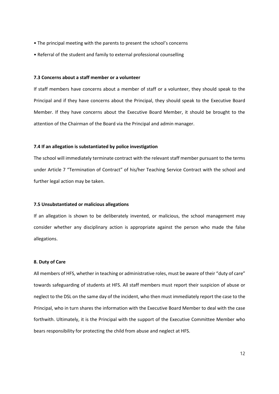- The principal meeting with the parents to present the school's concerns
- Referral of the student and family to external professional counselling

#### **7.3 Concerns about a staff member or a volunteer**

If staff members have concerns about a member of staff or a volunteer, they should speak to the Principal and if they have concerns about the Principal, they should speak to the Executive Board Member. If they have concerns about the Executive Board Member, it should be brought to the attention of the Chairman of the Board via the Principal and admin manager.

#### **7.4 If an allegation is substantiated by police investigation**

The school will immediately terminate contract with the relevant staff member pursuant to the terms under Article 7 "Termination of Contract" of his/her Teaching Service Contract with the school and further legal action may be taken.

#### **7.5 Unsubstantiated or malicious allegations**

If an allegation is shown to be deliberately invented, or malicious, the school management may consider whether any disciplinary action is appropriate against the person who made the false allegations.

#### **8. Duty of Care**

All members of HFS, whether in teaching or administrative roles, must be aware of their "duty of care" towards safeguarding of students at HFS. All staff members must report their suspicion of abuse or neglect to the DSL on the same day of the incident, who then must immediately report the case to the Principal, who in turn shares the information with the Executive Board Member to deal with the case forthwith. Ultimately, it is the Principal with the support of the Executive Committee Member who bears responsibility for protecting the child from abuse and neglect at HFS.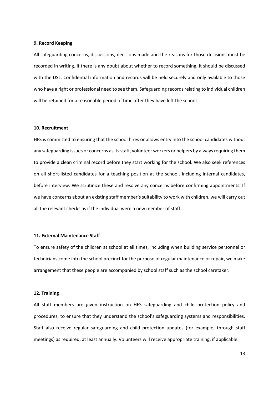#### **9. Record Keeping**

All safeguarding concerns, discussions, decisions made and the reasons for those decisions must be recorded in writing. If there is any doubt about whether to record something, it should be discussed with the DSL. Confidential information and records will be held securely and only available to those who have a right or professional need to see them. Safeguarding records relating to individual children will be retained for a reasonable period of time after they have left the school.

#### **10. Recruitment**

HFS is committed to ensuring that the school hires or allows entry into the school candidates without any safeguarding issues or concerns as its staff, volunteer workers or helpers by always requiring them to provide a clean criminal record before they start working for the school. We also seek references on all short-listed candidates for a teaching position at the school, including internal candidates, before interview. We scrutinize these and resolve any concerns before confirming appointments. If we have concerns about an existing staff member's suitability to work with children, we will carry out all the relevant checks as if the individual were a new member of staff.

#### **11. External Maintenance Staff**

To ensure safety of the children at school at all times, including when building service personnel or technicians come into the school precinct for the purpose of regular maintenance or repair, we make arrangement that these people are accompanied by school staff such as the school caretaker.

#### **12. Training**

All staff members are given instruction on HFS safeguarding and child protection policy and procedures, to ensure that they understand the school's safeguarding systems and responsibilities. Staff also receive regular safeguarding and child protection updates (for example, through staff meetings) as required, at least annually. Volunteers will receive appropriate training, if applicable.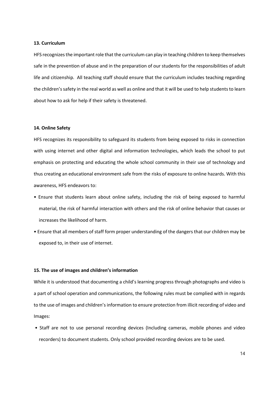#### **13. Curriculum**

HFS recognizes the important role that the curriculum can play in teaching children to keep themselves safe in the prevention of abuse and in the preparation of our students for the responsibilities of adult life and citizenship. All teaching staff should ensure that the curriculum includes teaching regarding the children's safety in the real world as well as online and that it will be used to help students to learn about how to ask for help if their safety is threatened.

#### **14. Online Safety**

HFS recognizes its responsibility to safeguard its students from being exposed to risks in connection with using internet and other digital and information technologies, which leads the school to put emphasis on protecting and educating the whole school community in their use of technology and thus creating an educational environment safe from the risks of exposure to online hazards. With this awareness, HFS endeavors to:

- Ensure that students learn about online safety, including the risk of being exposed to harmful material, the risk of harmful interaction with others and the risk of online behavior that causes or increases the likelihood of harm.
- Ensure that all members of staff form proper understanding of the dangers that our children may be exposed to, in their use of internet.

## **15. The use of images and children's information**

While it is understood that documenting a child's learning progress through photographs and video is a part of school operation and communications, the following rules must be complied with in regards to the use of images and children's information to ensure protection from illicit recording of video and Images:

• Staff are not to use personal recording devices (Including cameras, mobile phones and video recorders) to document students. Only school provided recording devices are to be used.